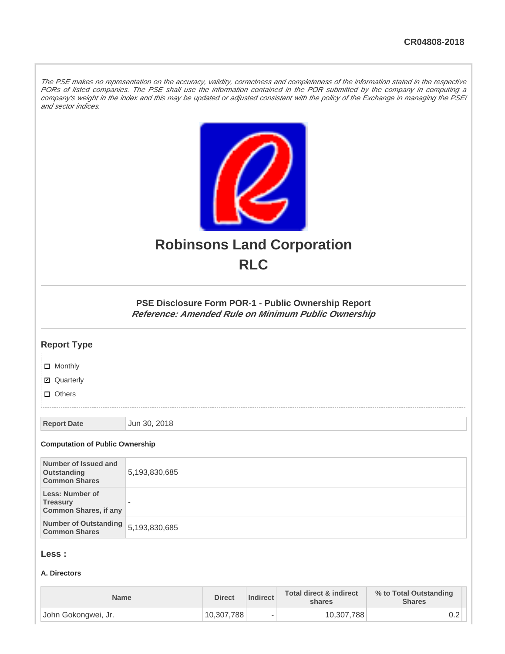The PSE makes no representation on the accuracy, validity, correctness and completeness of the information stated in the respective PORs of listed companies. The PSE shall use the information contained in the POR submitted by the company in computing a company's weight in the index and this may be updated or adjusted consistent with the policy of the Exchange in managing the PSEi and sector indices.



# **Robinsons Land Corporation RLC**

**PSE Disclosure Form POR-1 - Public Ownership Report Reference: Amended Rule on Minimum Public Ownership**

## **Report Type**

**D** Monthly

■ Quarterly

**D** Others

**Report Date Jun 30, 2018** 

#### **Computation of Public Ownership**

| Number of Issued and<br>Outstanding<br><b>Common Shares</b>        | 5,193,830,685            |
|--------------------------------------------------------------------|--------------------------|
| Less: Number of<br><b>Treasury</b><br><b>Common Shares, if any</b> | $\overline{\phantom{a}}$ |
| Number of Outstanding<br><b>Common Shares</b>                      | 5,193,830,685            |

## **Less :**

## **A. Directors**

| <b>Name</b>         | <b>Direct</b> | <b>Indirect</b>          | <b>Total direct &amp; indirect</b><br>shares | % to Total Outstanding<br><b>Shares</b> |
|---------------------|---------------|--------------------------|----------------------------------------------|-----------------------------------------|
| John Gokongwei, Jr. | 10,307,788    | $\overline{\phantom{a}}$ | 10,307,788                                   | ∪.∠                                     |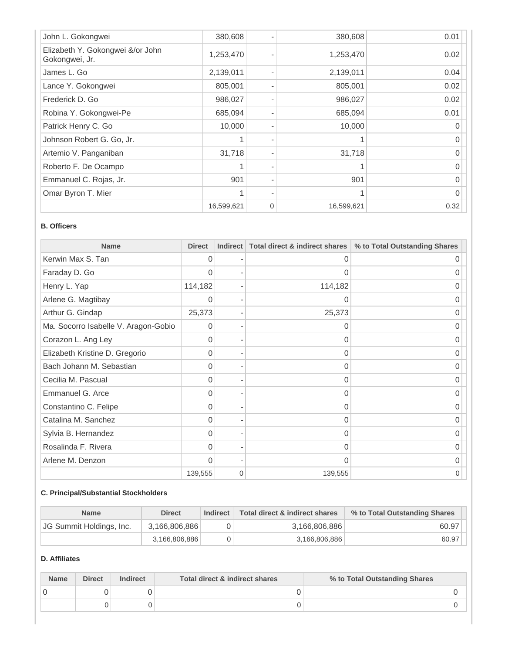| John L. Gokongwei                                  | 380,608    |          | 380,608    | 0.01 |
|----------------------------------------------------|------------|----------|------------|------|
| Elizabeth Y. Gokongwei &/or John<br>Gokongwei, Jr. | 1,253,470  |          | 1,253,470  | 0.02 |
| James L. Go                                        | 2,139,011  |          | 2,139,011  | 0.04 |
| Lance Y. Gokongwei                                 | 805,001    |          | 805,001    | 0.02 |
| Frederick D. Go                                    | 986,027    |          | 986,027    | 0.02 |
| Robina Y. Gokongwei-Pe                             | 685,094    |          | 685,094    | 0.01 |
| Patrick Henry C. Go                                | 10,000     |          | 10,000     |      |
| Johnson Robert G. Go, Jr.                          |            |          |            |      |
| Artemio V. Panganiban                              | 31,718     |          | 31,718     |      |
| Roberto F. De Ocampo                               |            |          | 1          |      |
| Emmanuel C. Rojas, Jr.                             | 901        |          | 901        | O    |
| Omar Byron T. Mier                                 |            |          |            |      |
|                                                    | 16,599,621 | $\Omega$ | 16,599,621 | 0.32 |

## **B. Officers**

| <b>Name</b>                          | <b>Direct</b> | <b>Indirect</b>          | Total direct & indirect shares | % to Total Outstanding Shares |
|--------------------------------------|---------------|--------------------------|--------------------------------|-------------------------------|
| Kerwin Max S. Tan                    | 0             |                          | 0                              | $\Omega$                      |
| Faraday D. Go                        | 0             |                          | 0                              | O                             |
| Henry L. Yap                         | 114,182       | $\overline{\phantom{0}}$ | 114,182                        | 0                             |
| Arlene G. Magtibay                   | 0             |                          | O                              | O                             |
| Arthur G. Gindap                     | 25,373        |                          | 25,373                         | O                             |
| Ma. Socorro Isabelle V. Aragon-Gobio | 0             |                          | 0                              |                               |
| Corazon L. Ang Ley                   | 0             |                          | 0                              |                               |
| Elizabeth Kristine D. Gregorio       | 0             |                          | 0                              | O                             |
| Bach Johann M. Sebastian             | 0             |                          | 0                              | 0                             |
| Cecilia M. Pascual                   | $\Omega$      |                          | 0                              | 0                             |
| Emmanuel G. Arce                     | 0             |                          | 0                              | O                             |
| Constantino C. Felipe                | 0             |                          | 0                              | O                             |
| Catalina M. Sanchez                  | 0             |                          | 0                              | $\Omega$                      |
| Sylvia B. Hernandez                  | 0             |                          | 0                              | 0                             |
| Rosalinda F. Rivera                  | 0             |                          | 0                              | 0                             |
| Arlene M. Denzon                     | $\Omega$      |                          | 0                              | O                             |
|                                      | 139,555       | $\Omega$                 | 139,555                        |                               |

## **C. Principal/Substantial Stockholders**

| <b>Name</b>              | <b>Direct</b> | <b>Indirect</b> | Total direct & indirect shares | % to Total Outstanding Shares |
|--------------------------|---------------|-----------------|--------------------------------|-------------------------------|
| JG Summit Holdings, Inc. | 3,166,806,886 |                 | 3,166,806,886                  | 60.97                         |
|                          | 3.166.806.886 |                 | 3,166,806,886                  | 60.97                         |

## **D. Affiliates**

| <b>Name</b> | <b>Direct</b> | <b>Indirect</b> | Total direct & indirect shares | % to Total Outstanding Shares |
|-------------|---------------|-----------------|--------------------------------|-------------------------------|
|             |               |                 |                                |                               |
|             |               |                 |                                |                               |